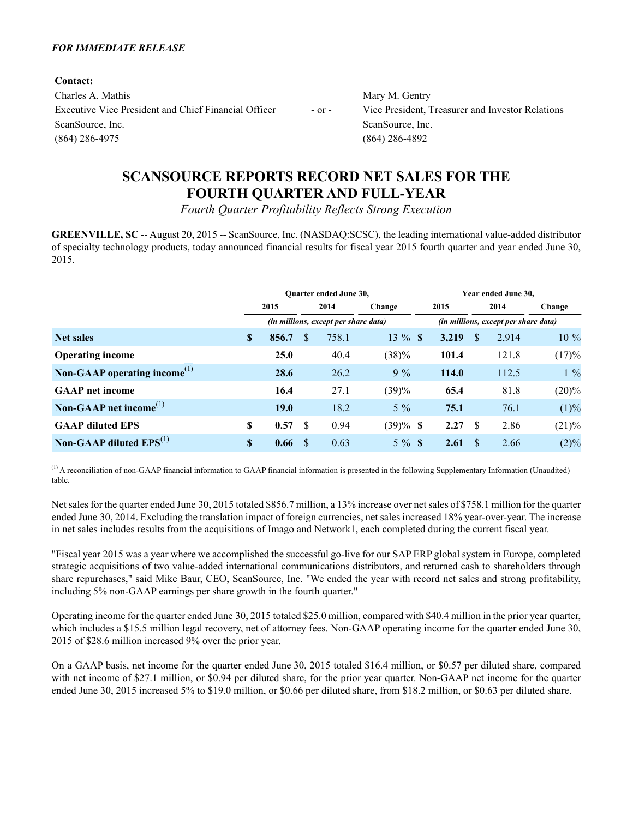### *FOR IMMEDIATE RELEASE*

**Contact:** Charles A. Mathis Mary M. Gentry Executive Vice President and Chief Financial Officer - or - Vice President, Treasurer and Investor Relations ScanSource, Inc. ScanSource, Inc. ScanSource, Inc. (864) 286-4975 (864) 286-4892

# **SCANSOURCE REPORTS RECORD NET SALES FOR THE FOURTH QUARTER AND FULL-YEAR**

*Fourth Quarter Profitability Reflects Strong Execution*

**GREENVILLE, SC** -- August 20, 2015 -- ScanSource, Inc. (NASDAQ:SCSC), the leading international value-added distributor of specialty technology products, today announced financial results for fiscal year 2015 fourth quarter and year ended June 30, 2015.

|                                          |              |             | <b>Ouarter ended June 30,</b> |                                      | Year ended June 30, |  |       |    |                                      |          |  |
|------------------------------------------|--------------|-------------|-------------------------------|--------------------------------------|---------------------|--|-------|----|--------------------------------------|----------|--|
|                                          |              | 2015        |                               | 2014                                 | Change              |  | 2015  |    | 2014                                 | Change   |  |
|                                          |              |             |                               | (in millions, except per share data) |                     |  |       |    | (in millions, except per share data) |          |  |
| <b>Net sales</b>                         | <sup>S</sup> | 856.7       | \$.                           | 758.1                                | $13 \%$ \$          |  | 3,219 | S  | 2,914                                | $10\%$   |  |
| <b>Operating income</b>                  |              | 25.0        |                               | 40.4                                 | (38)%               |  | 101.4 |    | 121.8                                | (17)%    |  |
| Non-GAAP operating income <sup>(1)</sup> |              | 28.6        |                               | 26.2                                 | $9\%$               |  | 114.0 |    | 112.5                                | $1\%$    |  |
| <b>GAAP</b> net income                   |              | 16.4        |                               | 27.1                                 | (39)%               |  | 65.4  |    | 81.8                                 | $(20)\%$ |  |
| Non-GAAP net income <sup>(1)</sup>       |              | <b>19.0</b> |                               | 18.2                                 | $5\%$               |  | 75.1  |    | 76.1                                 | (1)%     |  |
| <b>GAAP</b> diluted EPS                  | S            | 0.57        | <sup>\$</sup>                 | 0.94                                 | $(39)\%$ \$         |  | 2.27  | -S | 2.86                                 | $(21)\%$ |  |
| Non-GAAP diluted $EPS^{(1)}$             | S            | 0.66        | -S                            | 0.63                                 | $5\%$ \$            |  | 2.61  | -S | 2.66                                 | $(2)\%$  |  |

 $<sup>(1)</sup>$  A reconciliation of non-GAAP financial information to GAAP financial information is presented in the following Supplementary Information (Unaudited)</sup> table.

Net sales for the quarter ended June 30, 2015 totaled \$856.7 million, a 13% increase over net sales of \$758.1 million for the quarter ended June 30, 2014. Excluding the translation impact of foreign currencies, net sales increased 18% year-over-year. The increase in net sales includes results from the acquisitions of Imago and Network1, each completed during the current fiscal year.

"Fiscal year 2015 was a year where we accomplished the successful go-live for our SAP ERPglobal system in Europe, completed strategic acquisitions of two value-added international communications distributors, and returned cash to shareholders through share repurchases," said Mike Baur, CEO, ScanSource, Inc. "We ended the year with record net sales and strong profitability, including 5% non-GAAP earnings per share growth in the fourth quarter."

Operating income for the quarter ended June 30, 2015 totaled \$25.0 million, compared with \$40.4 million in the prior year quarter, which includes a \$15.5 million legal recovery, net of attorney fees. Non-GAAP operating income for the quarter ended June 30, 2015 of \$28.6 million increased 9% over the prior year.

On a GAAP basis, net income for the quarter ended June 30, 2015 totaled \$16.4 million, or \$0.57 per diluted share, compared with net income of \$27.1 million, or \$0.94 per diluted share, for the prior year quarter. Non-GAAP net income for the quarter ended June 30, 2015 increased 5% to \$19.0 million, or \$0.66 per diluted share, from \$18.2 million, or \$0.63 per diluted share.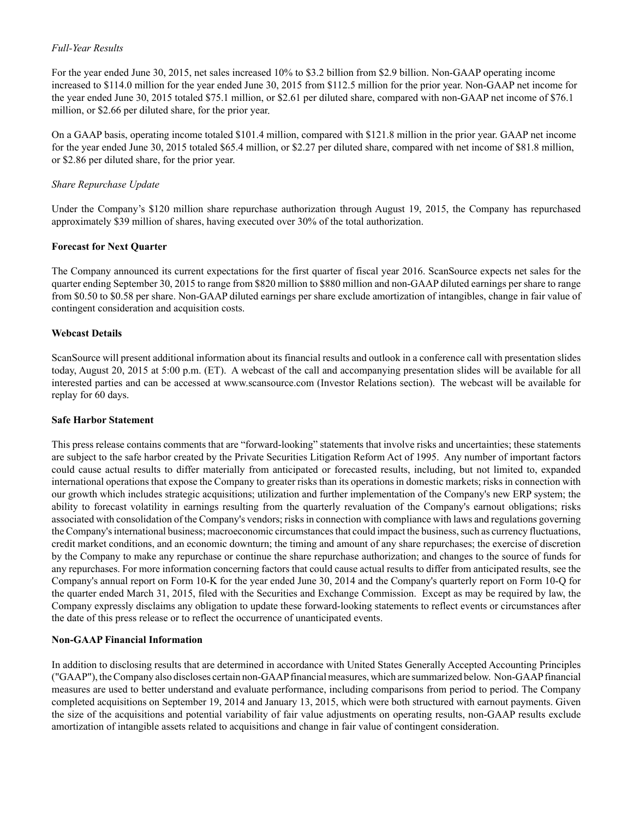### *Full-Year Results*

For the year ended June 30, 2015, net sales increased 10% to \$3.2 billion from \$2.9 billion. Non-GAAP operating income increased to \$114.0 million for the year ended June 30, 2015 from \$112.5 million for the prior year. Non-GAAP net income for the year ended June 30, 2015 totaled \$75.1 million, or \$2.61 per diluted share, compared with non-GAAP net income of \$76.1 million, or \$2.66 per diluted share, for the prior year.

On a GAAP basis, operating income totaled \$101.4 million, compared with \$121.8 million in the prior year. GAAP net income for the year ended June 30, 2015 totaled \$65.4 million, or \$2.27 per diluted share, compared with net income of \$81.8 million, or \$2.86 per diluted share, for the prior year.

### *Share Repurchase Update*

Under the Company's \$120 million share repurchase authorization through August 19, 2015, the Company has repurchased approximately \$39 million of shares, having executed over 30% of the total authorization.

### **Forecast for Next Quarter**

The Company announced its current expectations for the first quarter of fiscal year 2016. ScanSource expects net sales for the quarter ending September 30, 2015 to range from \$820 million to \$880 million and non-GAAPdiluted earnings per share to range from \$0.50 to \$0.58 per share. Non-GAAPdiluted earnings per share exclude amortization of intangibles, change in fair value of contingent consideration and acquisition costs.

### **Webcast Details**

ScanSource will present additional information about its financial results and outlook in a conference call with presentation slides today, August 20, 2015 at 5:00 p.m. (ET). A webcast of the call and accompanying presentation slides will be available for all interested parties and can be accessed at www.scansource.com (Investor Relations section). The webcast will be available for replay for 60 days.

### **Safe Harbor Statement**

This press release contains comments that are "forward-looking" statements that involve risks and uncertainties; these statements are subject to the safe harbor created by the Private Securities Litigation Reform Act of 1995. Any number of important factors could cause actual results to differ materially from anticipated or forecasted results, including, but not limited to, expanded international operations that expose the Company to greater risks than its operations in domestic markets; risks in connection with our growth which includes strategic acquisitions; utilization and further implementation of the Company's new ERP system; the ability to forecast volatility in earnings resulting from the quarterly revaluation of the Company's earnout obligations; risks associated with consolidation of the Company's vendors; risks in connection with compliance with laws and regulations governing the Company's international business; macroeconomic circumstances that could impact the business, such as currency fluctuations, credit market conditions, and an economic downturn; the timing and amount of any share repurchases; the exercise of discretion by the Company to make any repurchase or continue the share repurchase authorization; and changes to the source of funds for any repurchases. For more information concerning factors that could cause actual results to differ from anticipated results, see the Company's annual report on Form 10-K for the year ended June 30, 2014 and the Company's quarterly report on Form 10-Q for the quarter ended March 31, 2015, filed with the Securities and Exchange Commission. Except as may be required by law, the Company expressly disclaims any obligation to update these forward-looking statements to reflect events or circumstances after the date of this press release or to reflect the occurrence of unanticipated events.

#### **Non-GAAP Financial Information**

In addition to disclosing results that are determined in accordance with United States Generally Accepted Accounting Principles ("GAAP"), the Company also discloses certain non-GAAPfinancial measures, which are summarized below. Non-GAAPfinancial measures are used to better understand and evaluate performance, including comparisons from period to period. The Company completed acquisitions on September 19, 2014 and January 13, 2015, which were both structured with earnout payments. Given the size of the acquisitions and potential variability of fair value adjustments on operating results, non-GAAP results exclude amortization of intangible assets related to acquisitions and change in fair value of contingent consideration.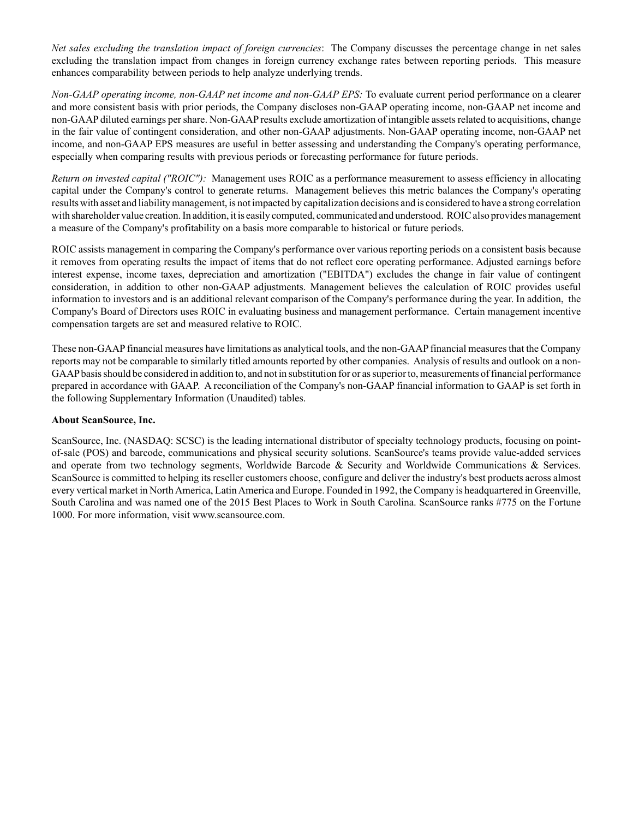*Net sales excluding the translation impact of foreign currencies*: The Company discusses the percentage change in net sales excluding the translation impact from changes in foreign currency exchange rates between reporting periods. This measure enhances comparability between periods to help analyze underlying trends.

*Non-GAAP operating income, non-GAAP net income and non-GAAP EPS:* To evaluate current period performance on a clearer and more consistent basis with prior periods, the Company discloses non-GAAP operating income, non-GAAP net income and non-GAAP diluted earnings per share. Non-GAAP results exclude amortization of intangible assets related to acquisitions, change in the fair value of contingent consideration, and other non-GAAP adjustments. Non-GAAP operating income, non-GAAP net income, and non-GAAP EPS measures are useful in better assessing and understanding the Company's operating performance, especially when comparing results with previous periods or forecasting performance for future periods.

*Return on invested capital ("ROIC"):* Management uses ROIC as a performance measurement to assess efficiency in allocating capital under the Company's control to generate returns. Management believes this metric balances the Company's operating results with asset and liability management, is not impacted by capitalization decisions and is considered to have a strong correlation with shareholder value creation. In addition, it is easily computed, communicated and understood. ROIC also provides management a measure of the Company's profitability on a basis more comparable to historical or future periods.

ROIC assists management in comparing the Company's performance over various reporting periods on a consistent basis because it removes from operating results the impact of items that do not reflect core operating performance. Adjusted earnings before interest expense, income taxes, depreciation and amortization ("EBITDA") excludes the change in fair value of contingent consideration, in addition to other non-GAAP adjustments. Management believes the calculation of ROIC provides useful information to investors and is an additional relevant comparison of the Company's performance during the year. In addition, the Company's Board of Directors uses ROIC in evaluating business and management performance. Certain management incentive compensation targets are set and measured relative to ROIC.

These non-GAAPfinancial measures have limitations as analytical tools, and the non-GAAPfinancial measures that the Company reports may not be comparable to similarly titled amounts reported by other companies. Analysis of results and outlook on a non-GAAPbasis should be considered in addition to, and not in substitution for or as superior to, measurements of financial performance prepared in accordance with GAAP. A reconciliation of the Company's non-GAAPfinancial information to GAAPis set forth in the following Supplementary Information (Unaudited) tables.

## **About ScanSource, Inc.**

ScanSource, Inc. (NASDAQ: SCSC) is the leading international distributor of specialty technology products, focusing on pointof-sale (POS) and barcode, communications and physical security solutions. ScanSource's teams provide value-added services and operate from two technology segments, Worldwide Barcode & Security and Worldwide Communications & Services. ScanSource is committed to helping its reseller customers choose, configure and deliver the industry's best products across almost every vertical market in North America, Latin America and Europe. Founded in 1992, the Company is headquartered in Greenville, South Carolina and was named one of the 2015 Best Places to Work in South Carolina. ScanSource ranks #775 on the Fortune 1000. For more information, visit www.scansource.com.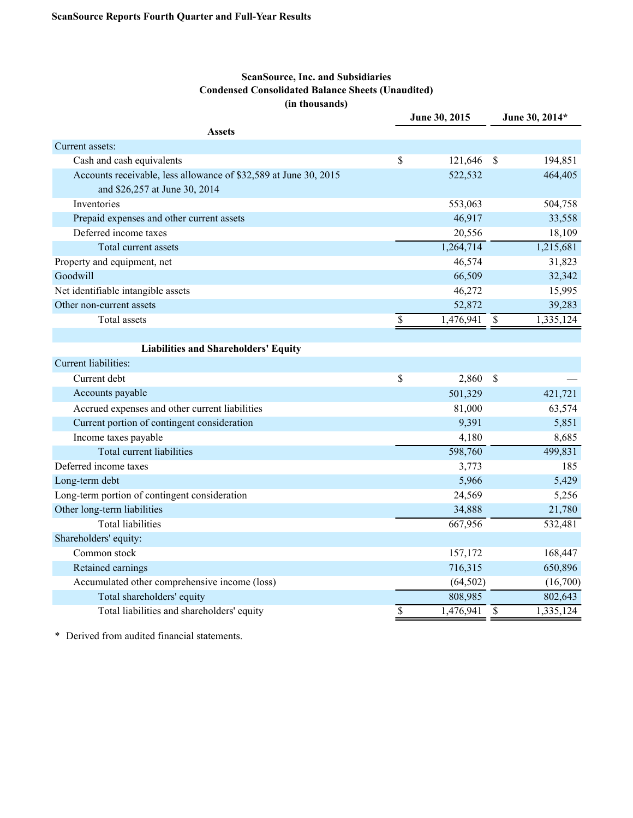# **ScanSource, Inc. and Subsidiaries Condensed Consolidated Balance Sheets (Unaudited) (in thousands)**

|                                                                                                   | June 30, 2015 |           | June 30, 2014* |           |  |
|---------------------------------------------------------------------------------------------------|---------------|-----------|----------------|-----------|--|
| <b>Assets</b>                                                                                     |               |           |                |           |  |
| Current assets:                                                                                   |               |           |                |           |  |
| Cash and cash equivalents                                                                         | \$            | 121,646   | $\mathcal{S}$  | 194,851   |  |
| Accounts receivable, less allowance of \$32,589 at June 30, 2015<br>and \$26,257 at June 30, 2014 |               | 522,532   |                | 464,405   |  |
| Inventories                                                                                       |               | 553,063   |                | 504,758   |  |
| Prepaid expenses and other current assets                                                         |               | 46,917    |                | 33,558    |  |
| Deferred income taxes                                                                             |               | 20,556    |                | 18,109    |  |
| Total current assets                                                                              |               | 1,264,714 |                | 1,215,681 |  |
| Property and equipment, net                                                                       |               | 46,574    |                | 31,823    |  |
| Goodwill                                                                                          |               | 66,509    |                | 32,342    |  |
| Net identifiable intangible assets                                                                |               | 46,272    |                | 15,995    |  |
| Other non-current assets                                                                          |               | 52,872    |                | 39,283    |  |
| <b>Total assets</b>                                                                               | \$            | 1,476,941 | \$             | 1,335,124 |  |
|                                                                                                   |               |           |                |           |  |
| <b>Liabilities and Shareholders' Equity</b>                                                       |               |           |                |           |  |
| Current liabilities:                                                                              |               |           |                |           |  |
| Current debt                                                                                      | \$            | 2,860     | $\mathcal{S}$  |           |  |
| Accounts payable                                                                                  |               | 501,329   |                | 421,721   |  |
| Accrued expenses and other current liabilities                                                    |               | 81,000    |                | 63,574    |  |
| Current portion of contingent consideration                                                       |               | 9,391     |                | 5,851     |  |
| Income taxes payable                                                                              |               | 4,180     |                | 8,685     |  |
| <b>Total current liabilities</b>                                                                  |               | 598,760   |                | 499,831   |  |
| Deferred income taxes                                                                             |               | 3,773     |                | 185       |  |
| Long-term debt                                                                                    |               | 5,966     |                | 5,429     |  |
| Long-term portion of contingent consideration                                                     |               | 24,569    |                | 5,256     |  |
| Other long-term liabilities                                                                       |               | 34,888    |                | 21,780    |  |
| <b>Total liabilities</b>                                                                          |               | 667,956   |                | 532,481   |  |
| Shareholders' equity:                                                                             |               |           |                |           |  |
| Common stock                                                                                      |               | 157,172   |                | 168,447   |  |
| Retained earnings                                                                                 |               | 716,315   |                | 650,896   |  |
| Accumulated other comprehensive income (loss)                                                     |               | (64, 502) |                | (16,700)  |  |
| Total shareholders' equity                                                                        |               | 808,985   |                | 802,643   |  |
| Total liabilities and shareholders' equity                                                        | \$            | 1,476,941 | $\mathcal{S}$  | 1,335,124 |  |

\* Derived from audited financial statements.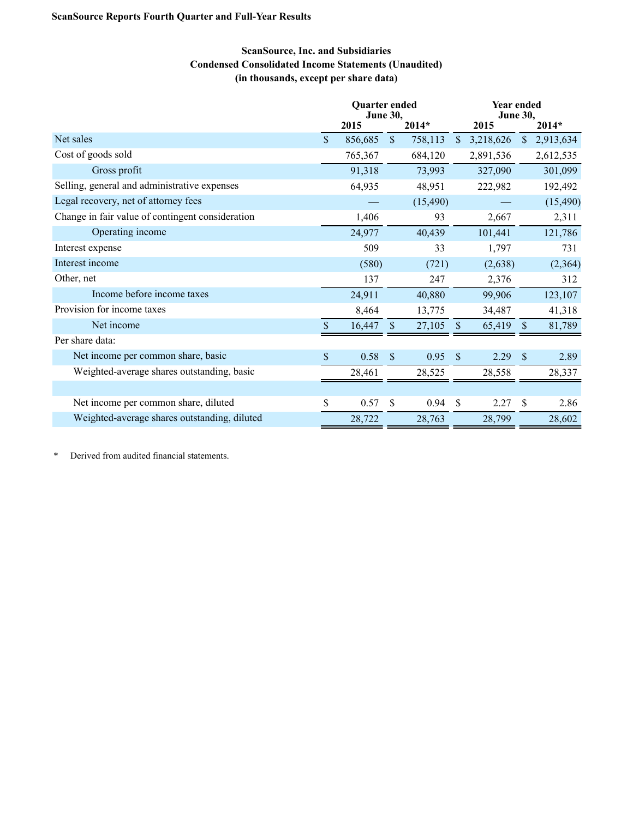# **ScanSource, Inc. and Subsidiaries Condensed Consolidated Income Statements (Unaudited) (in thousands, except per share data)**

|                                                  | Quarter ended<br><b>June 30,</b> |         |               |           | <b>Year ended</b><br><b>June 30,</b> |           |               |           |
|--------------------------------------------------|----------------------------------|---------|---------------|-----------|--------------------------------------|-----------|---------------|-----------|
|                                                  |                                  | 2015    |               | $2014*$   |                                      | 2015      |               | 2014*     |
| Net sales                                        | \$                               | 856,685 | $\mathsf{\$}$ | 758,113   | <sup>S</sup>                         | 3,218,626 | $\mathbb{S}$  | 2,913,634 |
| Cost of goods sold                               |                                  | 765,367 |               | 684,120   |                                      | 2,891,536 |               | 2,612,535 |
| Gross profit                                     |                                  | 91,318  |               | 73,993    |                                      | 327,090   |               | 301,099   |
| Selling, general and administrative expenses     |                                  | 64,935  |               | 48,951    |                                      | 222,982   |               | 192,492   |
| Legal recovery, net of attorney fees             |                                  |         |               | (15, 490) |                                      |           |               | (15, 490) |
| Change in fair value of contingent consideration |                                  | 1,406   |               | 93        |                                      | 2,667     |               | 2,311     |
| Operating income                                 |                                  | 24,977  |               | 40,439    |                                      | 101,441   |               | 121,786   |
| Interest expense                                 |                                  | 509     |               | 33        |                                      | 1,797     |               | 731       |
| Interest income                                  |                                  | (580)   |               | (721)     |                                      | (2,638)   |               | (2, 364)  |
| Other, net                                       |                                  | 137     |               | 247       |                                      | 2,376     |               | 312       |
| Income before income taxes                       |                                  | 24,911  |               | 40,880    |                                      | 99,906    |               | 123,107   |
| Provision for income taxes                       |                                  | 8,464   |               | 13,775    |                                      | 34,487    |               | 41,318    |
| Net income                                       |                                  | 16,447  | \$            | 27,105    | <sup>S</sup>                         | 65,419    | <sup>S</sup>  | 81,789    |
| Per share data:                                  |                                  |         |               |           |                                      |           |               |           |
| Net income per common share, basic               | S                                | 0.58    | $\mathbb{S}$  | 0.95      | $\mathbb{S}$                         | 2.29      | <sup>\$</sup> | 2.89      |
| Weighted-average shares outstanding, basic       |                                  | 28,461  |               | 28,525    |                                      | 28,558    |               | 28,337    |
|                                                  |                                  |         |               |           |                                      |           |               |           |
| Net income per common share, diluted             | \$                               | 0.57    | $\mathbb{S}$  | 0.94      | <sup>\$</sup>                        | 2.27      | -S            | 2.86      |
| Weighted-average shares outstanding, diluted     |                                  | 28,722  |               | 28,763    |                                      | 28,799    |               | 28,602    |

\* Derived from audited financial statements.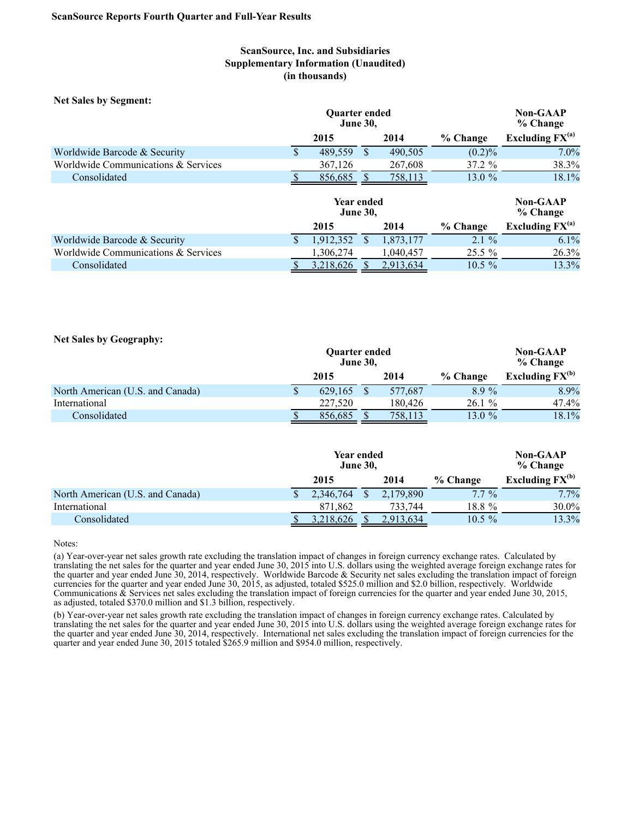## **ScanSource, Inc. and Subsidiaries Supplementary Information (Unaudited) (in thousands)**

**Net Sales by Segment:**

|                                     |   | <b>Ouarter ended</b><br><b>June 30,</b> |  |         | <b>Non-GAAP</b><br>% Change |                      |
|-------------------------------------|---|-----------------------------------------|--|---------|-----------------------------|----------------------|
|                                     |   | 2015                                    |  | 2014    | % Change                    | Excluding $FX^{(a)}$ |
| Worldwide Barcode & Security        | Φ | 489.559                                 |  | 490.505 | (0.2)%                      | $7.0\%$              |
| Worldwide Communications & Services |   | 367,126                                 |  | 267.608 | $37.2 \%$                   | 38.3%                |
| Consolidated                        |   | 856.685                                 |  | 758,113 | 13.0 $%$                    | 18.1%                |

|                                     |  |           | <b>Non-GAAP</b><br>% Change |           |                      |
|-------------------------------------|--|-----------|-----------------------------|-----------|----------------------|
|                                     |  | 2015      | 2014                        | % Change  | Excluding $FX^{(a)}$ |
| Worldwide Barcode & Security        |  | 1.912.352 | 1.873.177                   | $2.1\%$   | $6.1\%$              |
| Worldwide Communications & Services |  | .306.274  | .040.457                    | $25.5\%$  | 26.3%                |
| Consolidated                        |  | 3,218,626 | 2,913,634                   | $10.5 \%$ | 13.3%                |

#### **Net Sales by Geography:**

|                                  |   | <b>Ouarter ended</b><br><b>June 30,</b> |         |          | <b>Non-GAAP</b><br>% Change |
|----------------------------------|---|-----------------------------------------|---------|----------|-----------------------------|
|                                  |   | 2015                                    | 2014    | % Change | Excluding $FX^{(b)}$        |
| North American (U.S. and Canada) | Φ | 629.165                                 | 577.687 | $8.9\%$  | 8.9%                        |
| International                    |   | 227,520                                 | 180.426 | 26.1%    | 47.4%                       |
| Consolidated                     |   | 856,685                                 | 758,113 | 13.0 $%$ | 18.1%                       |

|                                  | Year ended<br><b>June 30,</b> |           | <b>Non-GAAP</b><br>% Change |                      |  |
|----------------------------------|-------------------------------|-----------|-----------------------------|----------------------|--|
|                                  | 2015                          | 2014      | % Change                    | Excluding $FX^{(b)}$ |  |
| North American (U.S. and Canada) | 2,346,764                     | 2,179,890 | $7.7\%$                     | $7.7\%$              |  |
| International                    | 871.862                       | 733.744   | 18.8 %                      | 30.0%                |  |
| Consolidated                     | 3,218,626                     | 2,913,634 | $10.5\%$                    | 13.3%                |  |

Notes:

(a) Year-over-year net sales growth rate excluding the translation impact of changes in foreign currency exchange rates. Calculated by translating the net sales for the quarter and year ended June 30, 2015 into U.S. dollars using the weighted average foreign exchange rates for the quarter and year ended June 30, 2014, respectively. Worldwide Barcode & Security net sales excluding the translation impact of foreign currencies for the quarter and year ended June 30, 2015, as adjusted, totaled \$525.0 million and \$2.0 billion, respectively. Worldwide Communications & Services net sales excluding the translation impact of foreign currencies for the quarter and year ended June 30, 2015, as adjusted, totaled \$370.0 million and \$1.3 billion, respectively.

(b) Year-over-year net sales growth rate excluding the translation impact of changes in foreign currency exchange rates. Calculated by translating the net sales for the quarter and year ended June 30, 2015 into U.S. dollars using the weighted average foreign exchange rates for the quarter and year ended June 30, 2014, respectively. International net sales excluding the translation impact of foreign currencies for the quarter and year ended June 30, 2015 totaled \$265.9 million and \$954.0 million, respectively.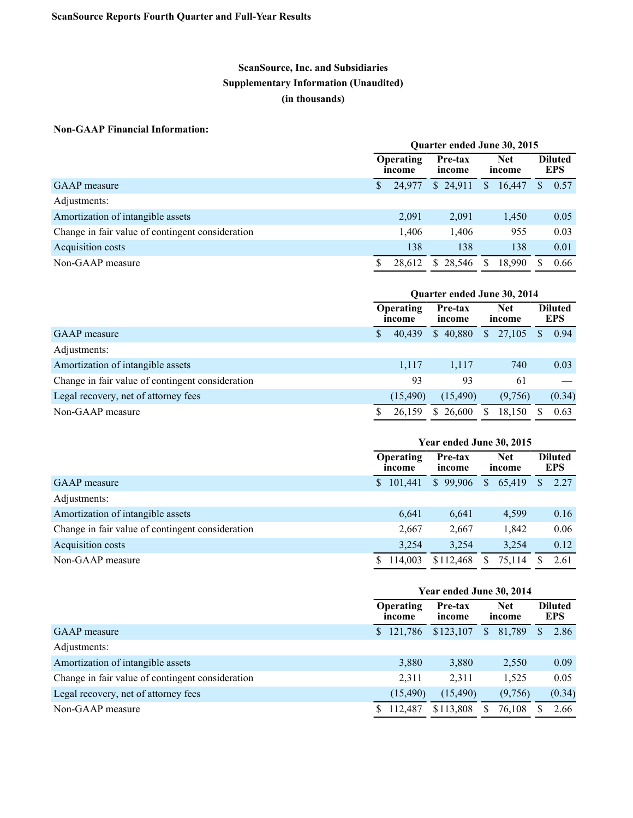# **ScanSource, Inc. and Subsidiaries Supplementary Information (Unaudited) (in thousands)**

## **Non-GAAP Financial Information:**

|                                                  |    | Quarter ended June 30, 2015 |                             |                      |                      |              |                              |
|--------------------------------------------------|----|-----------------------------|-----------------------------|----------------------|----------------------|--------------|------------------------------|
|                                                  |    | Operating<br>income         | Pre-tax<br>income           | <b>Net</b><br>income |                      |              | <b>Diluted</b><br><b>EPS</b> |
| <b>GAAP</b> measure                              | \$ | 24,977                      | \$24,911                    | $\mathbb{S}$         | 16,447               | $\mathbb{S}$ | 0.57                         |
| Adjustments:                                     |    |                             |                             |                      |                      |              |                              |
| Amortization of intangible assets                |    | 2,091                       | 2,091                       |                      | 1,450                |              | 0.05                         |
| Change in fair value of contingent consideration |    | 1,406                       | 1,406                       |                      | 955                  |              | 0.03                         |
| Acquisition costs                                |    | 138                         | 138                         |                      | 138                  |              | 0.01                         |
| Non-GAAP measure                                 | S  | 28,612                      | 28,546<br>S.                | S.                   | 18,990               | S            | 0.66                         |
|                                                  |    |                             |                             |                      |                      |              |                              |
|                                                  |    |                             |                             |                      |                      |              |                              |
|                                                  |    |                             | Quarter ended June 30, 2014 |                      |                      |              |                              |
|                                                  |    | Operating<br>income         | Pre-tax<br>income           |                      | <b>Net</b><br>income |              | <b>Diluted</b><br><b>EPS</b> |
| <b>GAAP</b> measure                              | \$ | 40,439                      | \$40,880                    | S.                   | 27,105               | \$           | 0.94                         |
| Adjustments:                                     |    |                             |                             |                      |                      |              |                              |
| Amortization of intangible assets                |    | 1,117                       | 1,117                       |                      | 740                  |              | 0.03                         |
| Change in fair value of contingent consideration |    | 93                          | 93                          |                      | 61                   |              |                              |
| Legal recovery, net of attorney fees             |    | (15, 490)                   | (15, 490)                   |                      | (9,756)              |              | (0.34)                       |

|                                                  | Year ended June 30, 2015 |                   |                          |                              |  |  |
|--------------------------------------------------|--------------------------|-------------------|--------------------------|------------------------------|--|--|
|                                                  | Operating<br>income      | Pre-tax<br>income | <b>Net</b><br>income     | <b>Diluted</b><br><b>EPS</b> |  |  |
| GAAP measure                                     | 101.441<br>S.            | \$99.906          | 65,419<br>$\mathbb{S}^-$ | 2.27<br>S.                   |  |  |
| Adjustments:                                     |                          |                   |                          |                              |  |  |
| Amortization of intangible assets                | 6,641                    | 6,641             | 4,599                    | 0.16                         |  |  |
| Change in fair value of contingent consideration | 2,667                    | 2,667             | 1,842                    | 0.06                         |  |  |
| Acquisition costs                                | 3,254                    | 3.254             | 3,254                    | 0.12                         |  |  |
| Non-GAAP measure                                 | 114,003                  | \$112,468         | 75,114                   | 2.61                         |  |  |

|                                                  | Year ended June 30, 2014 |                   |                      |                              |  |  |
|--------------------------------------------------|--------------------------|-------------------|----------------------|------------------------------|--|--|
|                                                  | Operating<br>income      | Pre-tax<br>income | <b>Net</b><br>income | <b>Diluted</b><br><b>EPS</b> |  |  |
| <b>GAAP</b> measure                              | 121.786<br>S.            | \$123,107         | 81,789<br>S.         | 2.86<br>S                    |  |  |
| Adjustments:                                     |                          |                   |                      |                              |  |  |
| Amortization of intangible assets                | 3,880                    | 3,880             | 2,550                | 0.09                         |  |  |
| Change in fair value of contingent consideration | 2,311                    | 2,311             | 1,525                | 0.05                         |  |  |
| Legal recovery, net of attorney fees             | (15, 490)                | (15, 490)         | (9,756)              | (0.34)                       |  |  |
| Non-GAAP measure                                 | 112,487<br>S.            | \$113,808         | 76,108<br>S.         | 2.66                         |  |  |